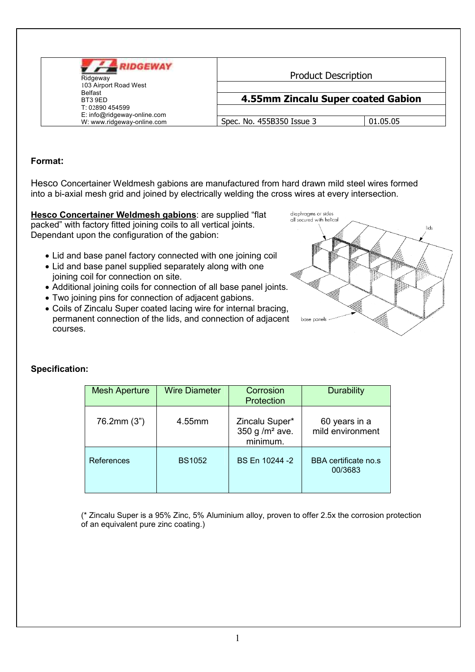| <b>UDGEWAY</b><br>Ridgeway<br>103 Airport Road West<br><b>Belfast</b><br>BT3 9ED<br>T: 02890 454599<br>E: info@ridgeway-online.com<br>W: www.ridgeway-online.com | <b>Product Description</b>         |          |
|------------------------------------------------------------------------------------------------------------------------------------------------------------------|------------------------------------|----------|
|                                                                                                                                                                  | 4.55mm Zincalu Super coated Gabion |          |
|                                                                                                                                                                  | Spec. No. 455B350 Issue 3          | 01.05.05 |

## Format:

Hesco Concertainer Weldmesh gabions are manufactured from hard drawn mild steel wires formed into a bi-axial mesh grid and joined by electrically welding the cross wires at every intersection.

Hesco Concertainer Weldmesh gabions: are supplied "flat packed" with factory fitted joining coils to all vertical joints. Dependant upon the configuration of the gabion:

- Lid and base panel factory connected with one joining coil
- Lid and base panel supplied separately along with one joining coil for connection on site.
- Additional joining coils for connection of all base panel joints.
- Two joining pins for connection of adjacent gabions.
- Coils of Zincalu Super coated lacing wire for internal bracing, permanent connection of the lids, and connection of adjacent courses.



## **Specification:**

| <b>Mesh Aperture</b> | <b>Wire Diameter</b> | Corrosion<br>Protection                        | <b>Durability</b>                 |
|----------------------|----------------------|------------------------------------------------|-----------------------------------|
| 76.2mm (3")          | 4.55mm               | Zincalu Super*<br>350 g $/m2$ ave.<br>minimum. | 60 years in a<br>mild environment |
| References           | <b>BS1052</b>        | BS En 10244 -2                                 | BBA certificate no.s<br>00/3683   |

(\* Zincalu Super is a 95% Zinc, 5% Aluminium alloy, proven to offer 2.5x the corrosion protection of an equivalent pure zinc coating.)